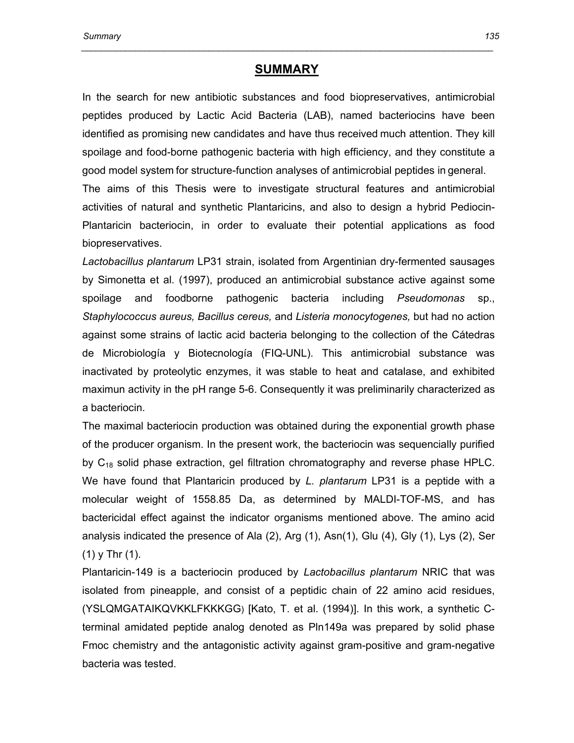## **SUMMARY**

 *\_\_\_\_\_\_\_\_\_\_\_\_\_\_\_\_\_\_\_\_\_\_\_\_\_\_\_\_\_\_\_\_\_\_\_\_\_\_\_\_\_\_\_\_\_\_\_\_\_\_\_\_\_\_\_\_\_\_\_\_\_\_\_\_\_\_\_\_\_\_\_\_\_\_\_\_\_\_\_\_\_\_\_\_* 

In the search for new antibiotic substances and food biopreservatives, antimicrobial peptides produced by Lactic Acid Bacteria (LAB), named bacteriocins have been identified as promising new candidates and have thus received much attention. They kill spoilage and food-borne pathogenic bacteria with high efficiency, and they constitute a good model system for structure-function analyses of antimicrobial peptides in general.

The aims of this Thesis were to investigate structural features and antimicrobial activities of natural and synthetic Plantaricins, and also to design a hybrid Pediocin-Plantaricin bacteriocin, in order to evaluate their potential applications as food biopreservatives.

*Lactobacillus plantarum* LP31 strain, isolated from Argentinian dry-fermented sausages by Simonetta et al. (1997), produced an antimicrobial substance active against some spoilage and foodborne pathogenic bacteria including *Pseudomonas* sp., *Staphylococcus aureus, Bacillus cereus,* and *Listeria monocytogenes,* but had no action against some strains of lactic acid bacteria belonging to the collection of the Cátedras de Microbiología y Biotecnología (FIQ-UNL). This antimicrobial substance was inactivated by proteolytic enzymes, it was stable to heat and catalase, and exhibited maximun activity in the pH range 5-6. Consequently it was preliminarily characterized as a bacteriocin.

The maximal bacteriocin production was obtained during the exponential growth phase of the producer organism. In the present work, the bacteriocin was sequencially purified by  $C_{18}$  solid phase extraction, gel filtration chromatography and reverse phase HPLC. We have found that Plantaricin produced by *L. plantarum* LP31 is a peptide with a molecular weight of 1558.85 Da, as determined by MALDI-TOF-MS, and has bactericidal effect against the indicator organisms mentioned above. The amino acid analysis indicated the presence of Ala (2), Arg (1), Asn(1), Glu (4), Gly (1), Lys (2), Ser (1) y Thr (1).

Plantaricin-149 is a bacteriocin produced by *Lactobacillus plantarum* NRIC that was isolated from pineapple, and consist of a peptidic chain of 22 amino acid residues, (YSLQMGATAIKQVKKLFKKKGG) [Kato, T. et al. (1994)]. In this work, a synthetic Cterminal amidated peptide analog denoted as Pln149a was prepared by solid phase Fmoc chemistry and the antagonistic activity against gram-positive and gram-negative bacteria was tested.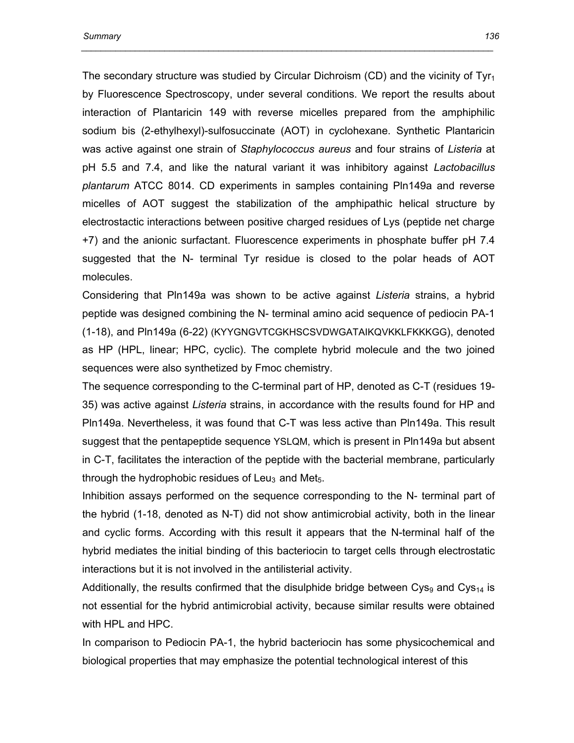The secondary structure was studied by Circular Dichroism (CD) and the vicinity of Tyr<sub>1</sub> by Fluorescence Spectroscopy, under several conditions. We report the results about interaction of Plantaricin 149 with reverse micelles prepared from the amphiphilic sodium bis (2-ethylhexyl)-sulfosuccinate (AOT) in cyclohexane. Synthetic Plantaricin was active against one strain of *Staphylococcus aureus* and four strains of *Listeria* at pH 5.5 and 7.4, and like the natural variant it was inhibitory against *Lactobacillus plantarum* ATCC 8014. CD experiments in samples containing Pln149a and reverse micelles of AOT suggest the stabilization of the amphipathic helical structure by electrostactic interactions between positive charged residues of Lys (peptide net charge +7) and the anionic surfactant. Fluorescence experiments in phosphate buffer pH 7.4 suggested that the N- terminal Tyr residue is closed to the polar heads of AOT molecules.

 *\_\_\_\_\_\_\_\_\_\_\_\_\_\_\_\_\_\_\_\_\_\_\_\_\_\_\_\_\_\_\_\_\_\_\_\_\_\_\_\_\_\_\_\_\_\_\_\_\_\_\_\_\_\_\_\_\_\_\_\_\_\_\_\_\_\_\_\_\_\_\_\_\_\_\_\_\_\_\_\_\_\_\_\_* 

Considering that Pln149a was shown to be active against *Listeria* strains, a hybrid peptide was designed combining the N- terminal amino acid sequence of pediocin PA-1 (1-18), and Pln149a (6-22) (KYYGNGVTCGKHSCSVDWGATAIKQVKKLFKKKGG), denoted as HP (HPL, linear; HPC, cyclic). The complete hybrid molecule and the two joined sequences were also synthetized by Fmoc chemistry.

The sequence corresponding to the C-terminal part of HP, denoted as C-T (residues 19- 35) was active against *Listeria* strains, in accordance with the results found for HP and Pln149a. Nevertheless, it was found that C-T was less active than Pln149a. This result suggest that the pentapeptide sequence YSLQM, which is present in Pln149a but absent in C-T, facilitates the interaction of the peptide with the bacterial membrane, particularly through the hydrophobic residues of Leu<sub>3</sub> and Met<sub>5</sub>.

Inhibition assays performed on the sequence corresponding to the N- terminal part of the hybrid (1-18, denoted as N-T) did not show antimicrobial activity, both in the linear and cyclic forms. According with this result it appears that the N-terminal half of the hybrid mediates the initial binding of this bacteriocin to target cells through electrostatic interactions but it is not involved in the antilisterial activity.

Additionally, the results confirmed that the disulphide bridge between  $\cos_{9}$  and  $\cos_{14}$  is not essential for the hybrid antimicrobial activity, because similar results were obtained with HPL and HPC.

In comparison to Pediocin PA-1, the hybrid bacteriocin has some physicochemical and biological properties that may emphasize the potential technological interest of this